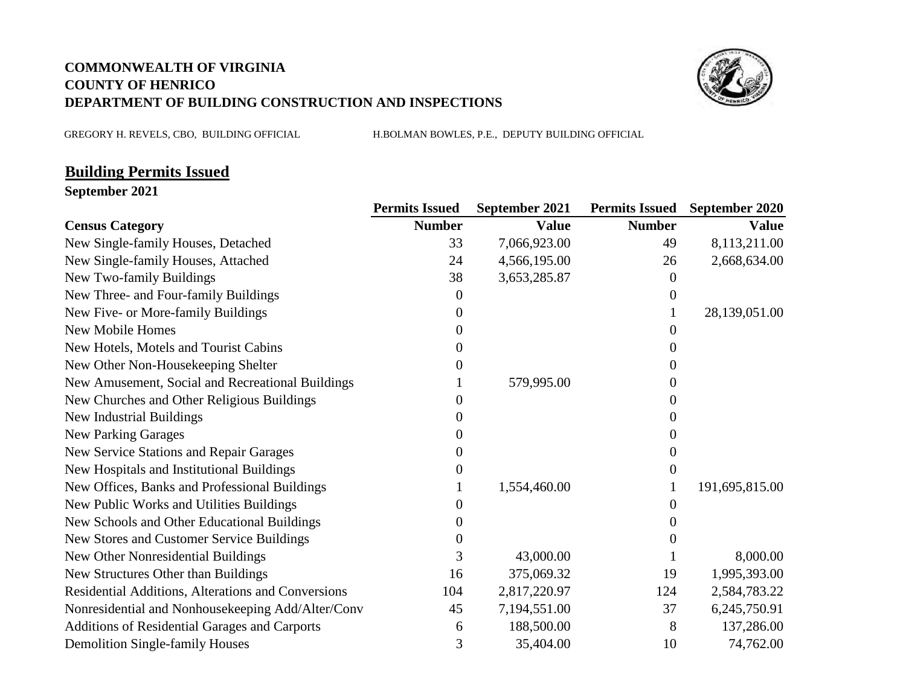## **COMMONWEALTH OF VIRGINIA COUNTY OF HENRICO DEPARTMENT OF BUILDING CONSTRUCTION AND INSPECTIONS**



GREGORY H. REVELS, CBO, BUILDING OFFICIAL H.BOLMAN BOWLES, P.E., DEPUTY BUILDING OFFICIAL

## **Building Permits Issued**

**September 2021**

|                                                    | <b>Permits Issued</b> | September 2021 |               | <b>Permits Issued</b> September 2020 |
|----------------------------------------------------|-----------------------|----------------|---------------|--------------------------------------|
| <b>Census Category</b>                             | <b>Number</b>         | <b>Value</b>   | <b>Number</b> | <b>Value</b>                         |
| New Single-family Houses, Detached                 | 33                    | 7,066,923.00   | 49            | 8,113,211.00                         |
| New Single-family Houses, Attached                 | 24                    | 4,566,195.00   | 26            | 2,668,634.00                         |
| New Two-family Buildings                           | 38                    | 3,653,285.87   | $\theta$      |                                      |
| New Three- and Four-family Buildings               | 0                     |                | 0             |                                      |
| New Five- or More-family Buildings                 | $\theta$              |                |               | 28,139,051.00                        |
| New Mobile Homes                                   | $^{(1)}$              |                | $\theta$      |                                      |
| New Hotels, Motels and Tourist Cabins              | $\mathbf{\Omega}$     |                | 0             |                                      |
| New Other Non-Housekeeping Shelter                 |                       |                | 0             |                                      |
| New Amusement, Social and Recreational Buildings   |                       | 579,995.00     | 0             |                                      |
| New Churches and Other Religious Buildings         |                       |                |               |                                      |
| New Industrial Buildings                           |                       |                | $\theta$      |                                      |
| <b>New Parking Garages</b>                         |                       |                |               |                                      |
| New Service Stations and Repair Garages            |                       |                | 0             |                                      |
| New Hospitals and Institutional Buildings          |                       |                | $\Omega$      |                                      |
| New Offices, Banks and Professional Buildings      |                       | 1,554,460.00   |               | 191,695,815.00                       |
| New Public Works and Utilities Buildings           | $^{(1)}$              |                | $\mathbf{0}$  |                                      |
| New Schools and Other Educational Buildings        |                       |                |               |                                      |
| New Stores and Customer Service Buildings          |                       |                |               |                                      |
| New Other Nonresidential Buildings                 | 3                     | 43,000.00      |               | 8,000.00                             |
| New Structures Other than Buildings                | 16                    | 375,069.32     | 19            | 1,995,393.00                         |
| Residential Additions, Alterations and Conversions | 104                   | 2,817,220.97   | 124           | 2,584,783.22                         |
| Nonresidential and Nonhousekeeping Add/Alter/Conv  | 45                    | 7,194,551.00   | 37            | 6,245,750.91                         |
| Additions of Residential Garages and Carports      | 6                     | 188,500.00     | 8             | 137,286.00                           |
| <b>Demolition Single-family Houses</b>             | 3                     | 35,404.00      | 10            | 74,762.00                            |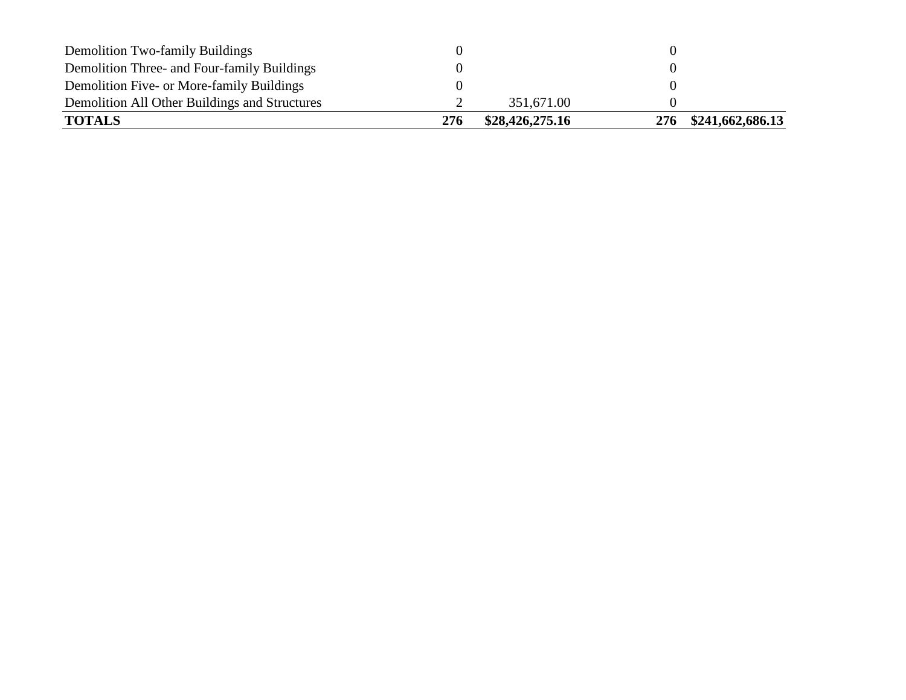| <b>Demolition Two-family Buildings</b><br>Demolition Three- and Four-family Buildings |     |                 |     |                  |
|---------------------------------------------------------------------------------------|-----|-----------------|-----|------------------|
| Demolition Five- or More-family Buildings                                             |     |                 |     |                  |
| Demolition All Other Buildings and Structures                                         |     | 351,671.00      |     |                  |
| <b>TOTALS</b>                                                                         | 276 | \$28,426,275.16 | 276 | \$241,662,686.13 |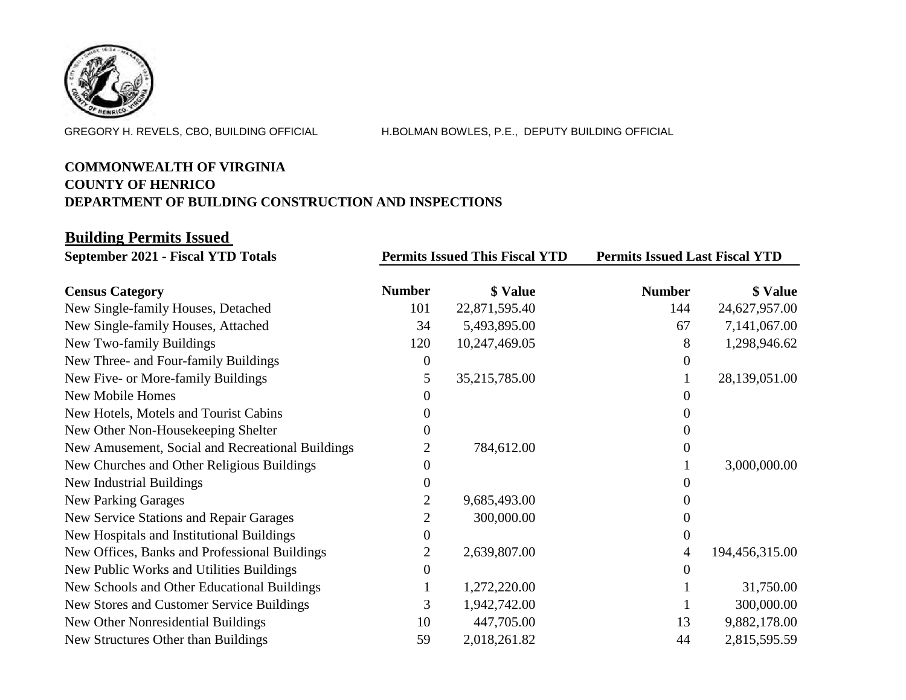

GREGORY H. REVELS, CBO, BUILDING OFFICIAL H.BOLMAN BOWLES, P.E., DEPUTY BUILDING OFFICIAL

## **COMMONWEALTH OF VIRGINIA COUNTY OF HENRICO DEPARTMENT OF BUILDING CONSTRUCTION AND INSPECTIONS**

## **Building Permits Issued**

| <b>September 2021 - Fiscal YTD Totals</b>        | <b>Permits Issued This Fiscal YTD</b> |               | <b>Permits Issued Last Fiscal YTD</b> |                |
|--------------------------------------------------|---------------------------------------|---------------|---------------------------------------|----------------|
| <b>Census Category</b>                           | <b>Number</b>                         | \$ Value      | <b>Number</b>                         | \$ Value       |
| New Single-family Houses, Detached               | 101                                   | 22,871,595.40 | 144                                   | 24,627,957.00  |
| New Single-family Houses, Attached               | 34                                    | 5,493,895.00  | 67                                    | 7,141,067.00   |
| New Two-family Buildings                         | 120                                   | 10,247,469.05 | 8                                     | 1,298,946.62   |
| New Three- and Four-family Buildings             | $\Omega$                              |               |                                       |                |
| New Five- or More-family Buildings               | 5.                                    | 35,215,785.00 |                                       | 28,139,051.00  |
| New Mobile Homes                                 |                                       |               |                                       |                |
| New Hotels, Motels and Tourist Cabins            |                                       |               |                                       |                |
| New Other Non-Housekeeping Shelter               |                                       |               |                                       |                |
| New Amusement, Social and Recreational Buildings |                                       | 784,612.00    |                                       |                |
| New Churches and Other Religious Buildings       |                                       |               |                                       | 3,000,000.00   |
| New Industrial Buildings                         |                                       |               |                                       |                |
| <b>New Parking Garages</b>                       |                                       | 9,685,493.00  |                                       |                |
| New Service Stations and Repair Garages          | 2                                     | 300,000.00    |                                       |                |
| New Hospitals and Institutional Buildings        | $\theta$                              |               |                                       |                |
| New Offices, Banks and Professional Buildings    |                                       | 2,639,807.00  | 4                                     | 194,456,315.00 |
| New Public Works and Utilities Buildings         | $\theta$                              |               |                                       |                |
| New Schools and Other Educational Buildings      |                                       | 1,272,220.00  |                                       | 31,750.00      |
| New Stores and Customer Service Buildings        | 3                                     | 1,942,742.00  |                                       | 300,000.00     |
| New Other Nonresidential Buildings               | 10                                    | 447,705.00    | 13                                    | 9,882,178.00   |
| New Structures Other than Buildings              | 59                                    | 2,018,261.82  | 44                                    | 2,815,595.59   |